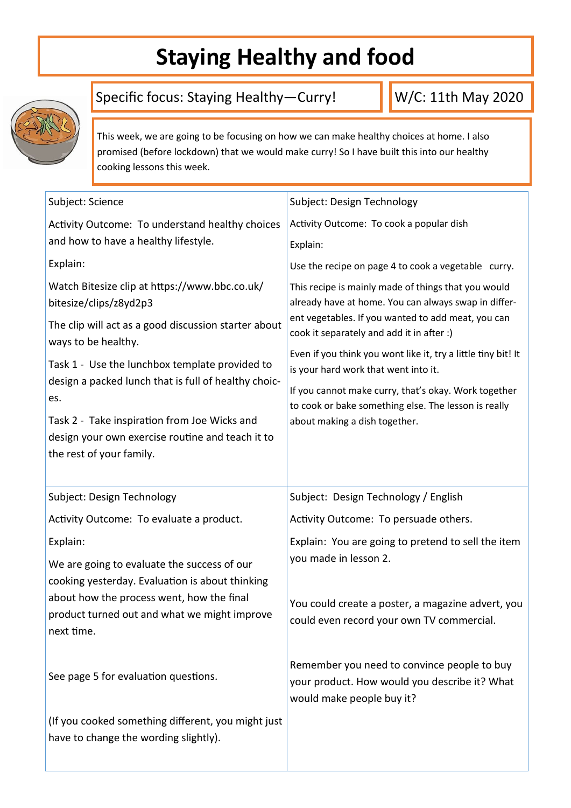### **Staying Healthy and food**



#### Specific focus: Staying Healthy—Curry!

W/C: 11th May 2020

This week, we are going to be focusing on how we can make healthy choices at home. I also promised (before lockdown) that we would make curry! So I have built this into our healthy cooking lessons this week.

| Subject: Science                                                                                                                                        | Subject: Design Technology                                                                                                                                                                                                                                                                                              |  |
|---------------------------------------------------------------------------------------------------------------------------------------------------------|-------------------------------------------------------------------------------------------------------------------------------------------------------------------------------------------------------------------------------------------------------------------------------------------------------------------------|--|
| Activity Outcome: To understand healthy choices                                                                                                         | Activity Outcome: To cook a popular dish                                                                                                                                                                                                                                                                                |  |
| and how to have a healthy lifestyle.                                                                                                                    | Explain:                                                                                                                                                                                                                                                                                                                |  |
| Explain:                                                                                                                                                | Use the recipe on page 4 to cook a vegetable curry.                                                                                                                                                                                                                                                                     |  |
| Watch Bitesize clip at https://www.bbc.co.uk/                                                                                                           | This recipe is mainly made of things that you would<br>already have at home. You can always swap in differ-<br>ent vegetables. If you wanted to add meat, you can<br>cook it separately and add it in after :)<br>Even if you think you wont like it, try a little tiny bit! It<br>is your hard work that went into it. |  |
| bitesize/clips/z8yd2p3<br>The clip will act as a good discussion starter about<br>ways to be healthy.<br>Task 1 - Use the lunchbox template provided to |                                                                                                                                                                                                                                                                                                                         |  |
|                                                                                                                                                         |                                                                                                                                                                                                                                                                                                                         |  |
| Task 2 - Take inspiration from Joe Wicks and                                                                                                            | about making a dish together.                                                                                                                                                                                                                                                                                           |  |
| design your own exercise routine and teach it to                                                                                                        |                                                                                                                                                                                                                                                                                                                         |  |
| the rest of your family.                                                                                                                                |                                                                                                                                                                                                                                                                                                                         |  |
|                                                                                                                                                         |                                                                                                                                                                                                                                                                                                                         |  |
|                                                                                                                                                         |                                                                                                                                                                                                                                                                                                                         |  |
| Subject: Design Technology                                                                                                                              | Subject: Design Technology / English                                                                                                                                                                                                                                                                                    |  |
| Activity Outcome: To evaluate a product.                                                                                                                | Activity Outcome: To persuade others.                                                                                                                                                                                                                                                                                   |  |
| Explain:                                                                                                                                                | Explain: You are going to pretend to sell the item                                                                                                                                                                                                                                                                      |  |
| We are going to evaluate the success of our                                                                                                             | you made in lesson 2.                                                                                                                                                                                                                                                                                                   |  |
| cooking yesterday. Evaluation is about thinking                                                                                                         |                                                                                                                                                                                                                                                                                                                         |  |
| about how the process went, how the final                                                                                                               | You could create a poster, a magazine advert, you                                                                                                                                                                                                                                                                       |  |
| product turned out and what we might improve                                                                                                            | could even record your own TV commercial.                                                                                                                                                                                                                                                                               |  |
| next time.                                                                                                                                              |                                                                                                                                                                                                                                                                                                                         |  |
|                                                                                                                                                         | Remember you need to convince people to buy                                                                                                                                                                                                                                                                             |  |
| See page 5 for evaluation questions.                                                                                                                    | your product. How would you describe it? What                                                                                                                                                                                                                                                                           |  |
|                                                                                                                                                         | would make people buy it?                                                                                                                                                                                                                                                                                               |  |
| (If you cooked something different, you might just                                                                                                      |                                                                                                                                                                                                                                                                                                                         |  |
| have to change the wording slightly).                                                                                                                   |                                                                                                                                                                                                                                                                                                                         |  |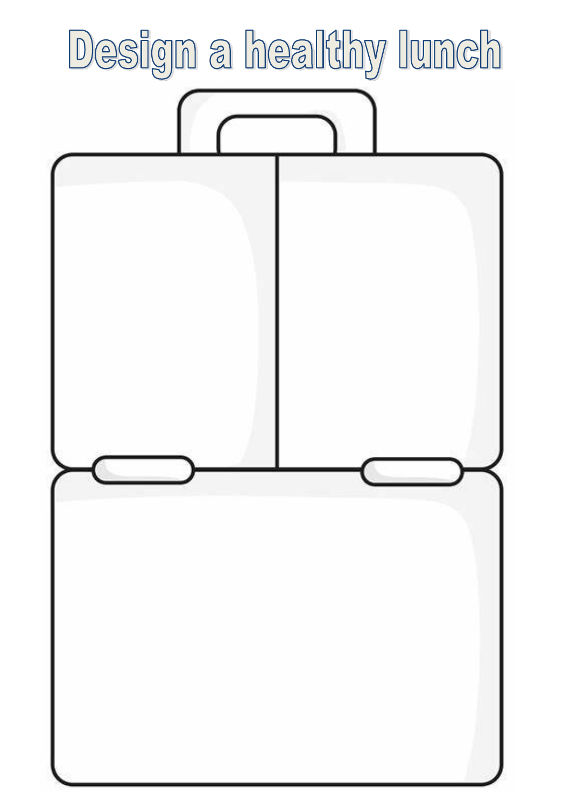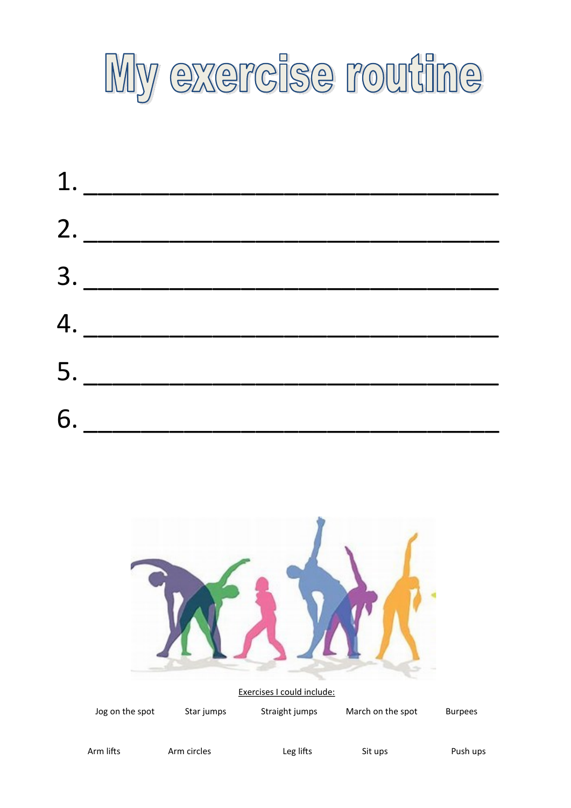

|    | 1. |  |  |
|----|----|--|--|
|    | 2. |  |  |
|    | 3. |  |  |
|    | 4. |  |  |
|    | 5. |  |  |
| 6. |    |  |  |
|    |    |  |  |



Jog on the spot Star jumps Straight jumps March on the spot Burpees

Arm lifts Arm circles Leg lifts Sit ups Push ups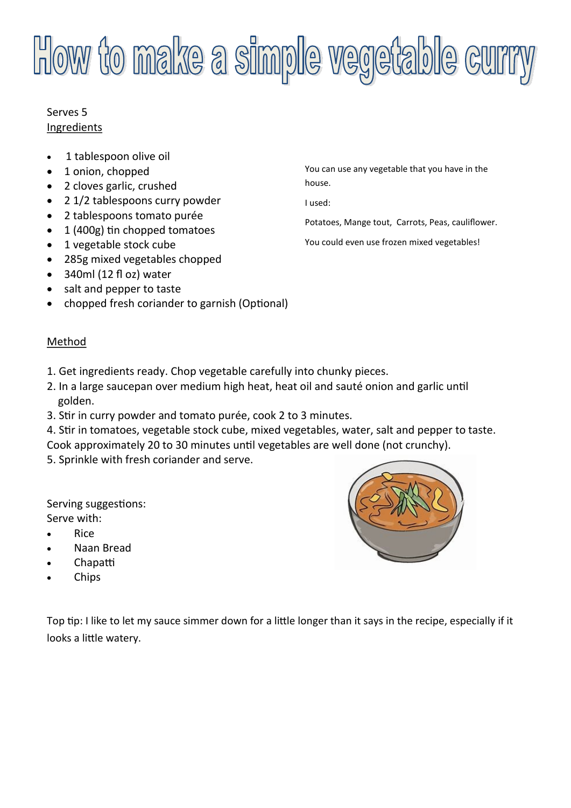# **How to make a simple vegetable curry**

#### Serves 5 Ingredients

- 1 tablespoon olive oil
- 1 onion, chopped
- 2 cloves garlic, crushed
- 2 1/2 tablespoons curry powder
- 2 tablespoons tomato purée
- 1 (400g) tin chopped tomatoes
- 1 vegetable stock cube
- 285g mixed vegetables chopped
- 340ml (12 fl oz) water
- salt and pepper to taste
- chopped fresh coriander to garnish (Optional)

#### Method

- 1. Get ingredients ready. Chop vegetable carefully into chunky pieces.
- 2. In a large saucepan over medium high heat, heat oil and sauté onion and garlic until golden.
- 3. Stir in curry powder and tomato purée, cook 2 to 3 minutes.
- 4. Stir in tomatoes, vegetable stock cube, mixed vegetables, water, salt and pepper to taste. Cook approximately 20 to 30 minutes until vegetables are well done (not crunchy).
- 5. Sprinkle with fresh coriander and serve.

Serving suggestions: Serve with:

- Rice
- Naan Bread
- Chapatti
- Chips

Top tip: I like to let my sauce simmer down for a little longer than it says in the recipe, especially if it looks a little watery.



You can use any vegetable that you have in the house.

I used:

Potatoes, Mange tout, Carrots, Peas, cauliflower.

You could even use frozen mixed vegetables!